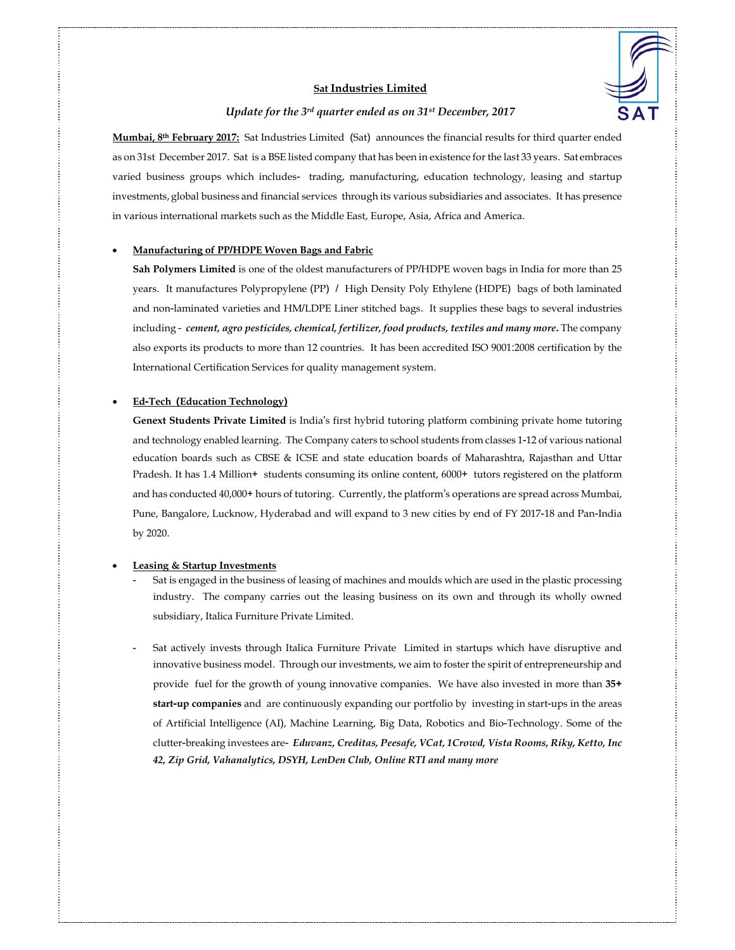

# **Sat Industries Limited**

## *Update for the 3rd quarter ended as on 31st December, 2017*

**Mumbai, 8th February 2017:** Sat Industries Limited (Sat) announces the financial results for third quarter ended as on 31st December 2017. Sat is a BSE listed company that has been in existence for the last 33 years. Sat embraces varied business groups which includes- trading, manufacturing, education technology, leasing and startup investments, global business and financial services through its various subsidiaries and associates. It has presence in various international markets such as the Middle East, Europe, Asia, Africa and America.

#### **Manufacturing of PP/HDPE Woven Bags and Fabric**

**Sah Polymers Limited** is one of the oldest manufacturers of PP/HDPE woven bags in India for more than 25 years. It manufactures Polypropylene (PP) / High Density Poly Ethylene (HDPE) bags of both laminated and non-laminated varieties and HM/LDPE Liner stitched bags. It supplies these bags to several industries including – *cement, agro pesticides, chemical, fertilizer, food products, textiles and many more***.** The company also exports its products to more than 12 countries. It has been accredited ISO 9001:2008 certification by the International Certification Services for quality management system.

## **Ed-Tech (Education Technology)**

**Genext Students Private Limited** is India's first hybrid tutoring platform combining private home tutoring and technology enabled learning. The Company caters to school students from classes 1-12 of various national education boards such as CBSE & ICSE and state education boards of Maharashtra, Rajasthan and Uttar Pradesh. It has 1.4 Million+ students consuming its online content, 6000+ tutors registered on the platform and has conducted 40,000+ hours of tutoring. Currently, the platform's operations are spread across Mumbai, Pune, Bangalore, Lucknow, Hyderabad and will expand to 3 new cities by end of FY 2017-18 and Pan-India by 2020.

#### **Leasing & Startup Investments**

- Sat is engaged in the business of leasing of machines and moulds which are used in the plastic processing industry. The company carries out the leasing business on its own and through its wholly owned subsidiary, Italica Furniture Private Limited.
- Sat actively invests through Italica Furniture Private Limited in startups which have disruptive and innovative business model. Through our investments, we aim to foster the spirit of entrepreneurship and provide fuel for the growth of young innovative companies. We have also invested in more than **35+ start-up companies** and are continuously expanding our portfolio by investing in start-ups in the areas of Artificial Intelligence (AI), Machine Learning, Big Data, Robotics and Bio-Technology. Some of the clutter-breaking investees are- *Eduvanz, Creditas, Peesafe, VCat, 1Crowd, Vista Rooms, Riky, Ketto, Inc 42, Zip Grid, Vahanalytics, DSYH, LenDen Club, Online RTI and many more*